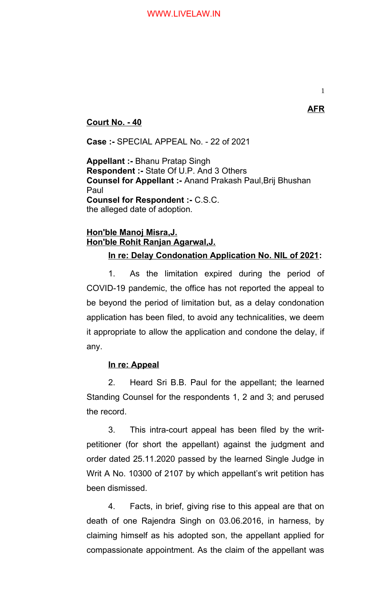1

## **Court No. - 40**

**Case :-** SPECIAL APPEAL No. - 22 of 2021

**Appellant :-** Bhanu Pratap Singh **Respondent :-** State Of U.P. And 3 Others **Counsel for Appellant :-** Anand Prakash Paul,Brij Bhushan Paul **Counsel for Respondent :-** C.S.C. the alleged date of adoption.

# **Hon'ble Manoj Misra,J. Hon'ble Rohit Ranjan Agarwal,J.**

## **In re: Delay Condonation Application No. NIL of 2021:**

1. As the limitation expired during the period of COVID-19 pandemic, the office has not reported the appeal to be beyond the period of limitation but, as a delay condonation application has been filed, to avoid any technicalities, we deem it appropriate to allow the application and condone the delay, if any.

### **In re: Appeal**

2. Heard Sri B.B. Paul for the appellant; the learned Standing Counsel for the respondents 1, 2 and 3; and perused the record.

3. This intra-court appeal has been filed by the writpetitioner (for short the appellant) against the judgment and order dated 25.11.2020 passed by the learned Single Judge in Writ A No. 10300 of 2107 by which appellant's writ petition has been dismissed.

4. Facts, in brief, giving rise to this appeal are that on death of one Rajendra Singh on 03.06.2016, in harness, by claiming himself as his adopted son, the appellant applied for compassionate appointment. As the claim of the appellant was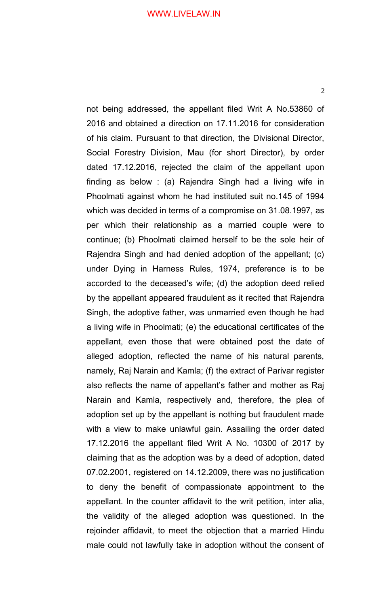2

not being addressed, the appellant filed Writ A No.53860 of 2016 and obtained a direction on 17.11.2016 for consideration of his claim. Pursuant to that direction, the Divisional Director, Social Forestry Division, Mau (for short Director), by order dated 17.12.2016, rejected the claim of the appellant upon finding as below : (a) Rajendra Singh had a living wife in Phoolmati against whom he had instituted suit no.145 of 1994 which was decided in terms of a compromise on 31.08.1997, as per which their relationship as a married couple were to continue; (b) Phoolmati claimed herself to be the sole heir of Rajendra Singh and had denied adoption of the appellant; (c) under Dying in Harness Rules, 1974, preference is to be accorded to the deceased's wife; (d) the adoption deed relied by the appellant appeared fraudulent as it recited that Rajendra Singh, the adoptive father, was unmarried even though he had a living wife in Phoolmati; (e) the educational certificates of the appellant, even those that were obtained post the date of alleged adoption, reflected the name of his natural parents, namely, Raj Narain and Kamla; (f) the extract of Parivar register also reflects the name of appellant's father and mother as Raj Narain and Kamla, respectively and, therefore, the plea of adoption set up by the appellant is nothing but fraudulent made with a view to make unlawful gain. Assailing the order dated 17.12.2016 the appellant filed Writ A No. 10300 of 2017 by claiming that as the adoption was by a deed of adoption, dated 07.02.2001, registered on 14.12.2009, there was no justification to deny the benefit of compassionate appointment to the appellant. In the counter affidavit to the writ petition, inter alia, the validity of the alleged adoption was questioned. In the rejoinder affidavit, to meet the objection that a married Hindu male could not lawfully take in adoption without the consent of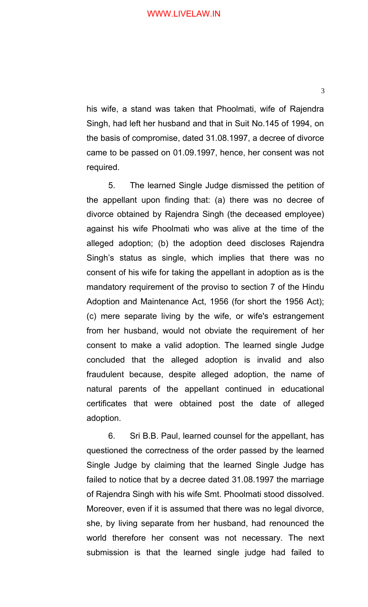his wife, a stand was taken that Phoolmati, wife of Rajendra Singh, had left her husband and that in Suit No.145 of 1994, on the basis of compromise, dated 31.08.1997, a decree of divorce came to be passed on 01.09.1997, hence, her consent was not required.

5. The learned Single Judge dismissed the petition of the appellant upon finding that: (a) there was no decree of divorce obtained by Rajendra Singh (the deceased employee) against his wife Phoolmati who was alive at the time of the alleged adoption; (b) the adoption deed discloses Rajendra Singh's status as single, which implies that there was no consent of his wife for taking the appellant in adoption as is the mandatory requirement of the proviso to section 7 of the Hindu Adoption and Maintenance Act, 1956 (for short the 1956 Act); (c) mere separate living by the wife, or wife's estrangement from her husband, would not obviate the requirement of her consent to make a valid adoption. The learned single Judge concluded that the alleged adoption is invalid and also fraudulent because, despite alleged adoption, the name of natural parents of the appellant continued in educational certificates that were obtained post the date of alleged adoption.

6. Sri B.B. Paul, learned counsel for the appellant, has questioned the correctness of the order passed by the learned Single Judge by claiming that the learned Single Judge has failed to notice that by a decree dated 31.08.1997 the marriage of Rajendra Singh with his wife Smt. Phoolmati stood dissolved. Moreover, even if it is assumed that there was no legal divorce, she, by living separate from her husband, had renounced the world therefore her consent was not necessary. The next submission is that the learned single judge had failed to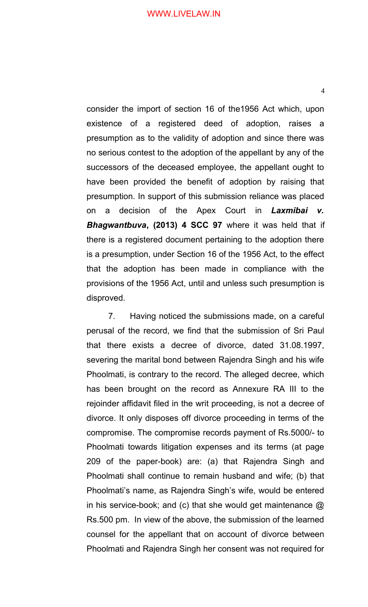consider the import of section 16 of the1956 Act which, upon existence of a registered deed of adoption, raises a presumption as to the validity of adoption and since there was no serious contest to the adoption of the appellant by any of the successors of the deceased employee, the appellant ought to have been provided the benefit of adoption by raising that presumption. In support of this submission reliance was placed on a decision of the Apex Court in *Laxmibai v. Bhagwantbuva***, (2013) 4 SCC 97** where it was held that if there is a registered document pertaining to the adoption there is a presumption, under Section 16 of the 1956 Act, to the effect that the adoption has been made in compliance with the provisions of the 1956 Act, until and unless such presumption is disproved.

7. Having noticed the submissions made, on a careful perusal of the record, we find that the submission of Sri Paul that there exists a decree of divorce, dated 31.08.1997, severing the marital bond between Rajendra Singh and his wife Phoolmati, is contrary to the record. The alleged decree, which has been brought on the record as Annexure RA III to the rejoinder affidavit filed in the writ proceeding, is not a decree of divorce. It only disposes off divorce proceeding in terms of the compromise. The compromise records payment of Rs.5000/- to Phoolmati towards litigation expenses and its terms (at page 209 of the paper-book) are: (a) that Rajendra Singh and Phoolmati shall continue to remain husband and wife; (b) that Phoolmati's name, as Rajendra Singh's wife, would be entered in his service-book; and (c) that she would get maintenance  $\omega$ Rs.500 pm. In view of the above, the submission of the learned counsel for the appellant that on account of divorce between Phoolmati and Rajendra Singh her consent was not required for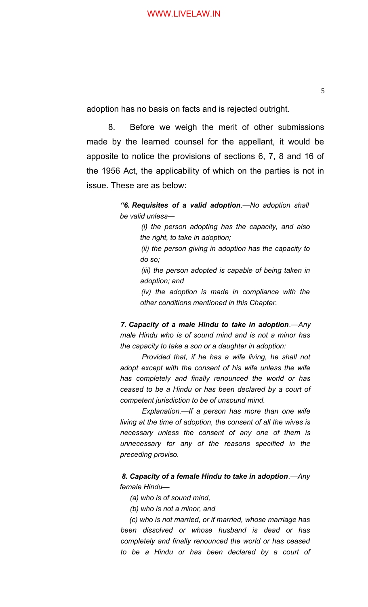adoption has no basis on facts and is rejected outright.

8. Before we weigh the merit of other submissions made by the learned counsel for the appellant, it would be apposite to notice the provisions of sections 6, 7, 8 and 16 of the 1956 Act, the applicability of which on the parties is not in issue. These are as below:

> *"6. Requisites of a valid adoption.—No adoption shall be valid unless—*

> > *(i) the person adopting has the capacity, and also the right, to take in adoption;*

> > *(ii) the person giving in adoption has the capacity to do so;*

> > *(iii) the person adopted is capable of being taken in adoption; and*

> > *(iv) the adoption is made in compliance with the other conditions mentioned in this Chapter.*

*7. Capacity of a male Hindu to take in adoption.—Any male Hindu who is of sound mind and is not a minor has the capacity to take a son or a daughter in adoption:*

*Provided that, if he has a wife living, he shall not adopt except with the consent of his wife unless the wife has completely and finally renounced the world or has ceased to be a Hindu or has been declared by a court of competent jurisdiction to be of unsound mind.*

*Explanation.—If a person has more than one wife living at the time of adoption, the consent of all the wives is necessary unless the consent of any one of them is unnecessary for any of the reasons specified in the preceding proviso.*

*8. Capacity of a female Hindu to take in adoption.—Any female Hindu—*

*(a) who is of sound mind,*

*(b) who is not a minor, and*

*(c) who is not married, or if married, whose marriage has been dissolved or whose husband is dead or has completely and finally renounced the world or has ceased to be a Hindu or has been declared by a court of*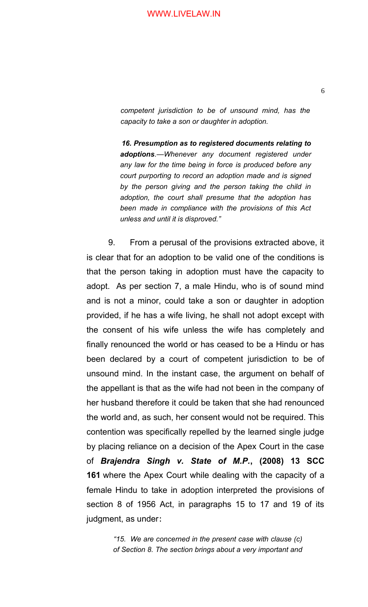*competent jurisdiction to be of unsound mind, has the capacity to take a son or daughter in adoption.*

*16. Presumption as to registered documents relating to adoptions.—Whenever any document registered under any law for the time being in force is produced before any court purporting to record an adoption made and is signed by the person giving and the person taking the child in adoption, the court shall presume that the adoption has been made in compliance with the provisions of this Act unless and until it is disproved."*

9. From a perusal of the provisions extracted above, it is clear that for an adoption to be valid one of the conditions is that the person taking in adoption must have the capacity to adopt. As per section 7, a male Hindu, who is of sound mind and is not a minor, could take a son or daughter in adoption provided, if he has a wife living, he shall not adopt except with the consent of his wife unless the wife has completely and finally renounced the world or has ceased to be a Hindu or has been declared by a court of competent jurisdiction to be of unsound mind. In the instant case, the argument on behalf of the appellant is that as the wife had not been in the company of her husband therefore it could be taken that she had renounced the world and, as such, her consent would not be required. This contention was specifically repelled by the learned single judge by placing reliance on a decision of the Apex Court in the case of *Brajendra Singh v. State of M.P.***, (2008) 13 SCC 161** where the Apex Court while dealing with the capacity of a female Hindu to take in adoption interpreted the provisions of section 8 of 1956 Act, in paragraphs 15 to 17 and 19 of its judgment, as under:

> *"15. We are concerned in the present case with clause (c) of Section 8. The section brings about a very important and*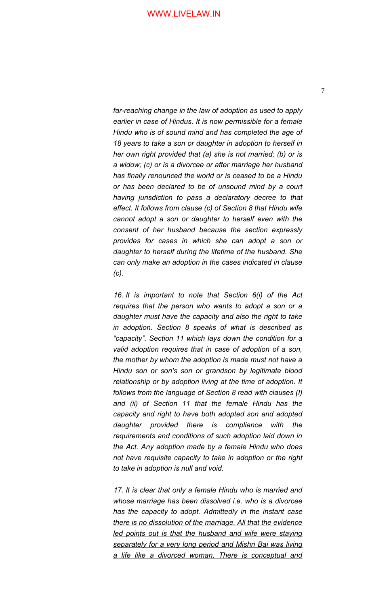*far-reaching change in the law of adoption as used to apply earlier in case of Hindus. It is now permissible for a female Hindu who is of sound mind and has completed the age of 18 years to take a son or daughter in adoption to herself in her own right provided that (a) she is not married; (b) or is a widow; (c) or is a divorcee or after marriage her husband has finally renounced the world or is ceased to be a Hindu or has been declared to be of unsound mind by a court having jurisdiction to pass a declaratory decree to that effect. It follows from clause (c) of Section 8 that Hindu wife cannot adopt a son or daughter to herself even with the consent of her husband because the section expressly provides for cases in which she can adopt a son or daughter to herself during the lifetime of the husband. She can only make an adoption in the cases indicated in clause (c).*

*16. It is important to note that Section 6(i) of the Act requires that the person who wants to adopt a son or a daughter must have the capacity and also the right to take in adoption. Section 8 speaks of what is described as "capacity". Section 11 which lays down the condition for a valid adoption requires that in case of adoption of a son, the mother by whom the adoption is made must not have a Hindu son or son's son or grandson by legitimate blood relationship or by adoption living at the time of adoption. It follows from the language of Section 8 read with clauses (I) and (ii) of Section 11 that the female Hindu has the capacity and right to have both adopted son and adopted daughter provided there is compliance with the requirements and conditions of such adoption laid down in the Act. Any adoption made by a female Hindu who does not have requisite capacity to take in adoption or the right to take in adoption is null and void.*

*17. It is clear that only a female Hindu who is married and whose marriage has been dissolved i.e. who is a divorcee has the capacity to adopt. Admittedly in the instant case there is no dissolution of the marriage. All that the evidence led points out is that the husband and wife were staying separately for a very long period and Mishri Bai was living a life like a divorced woman. There is conceptual and*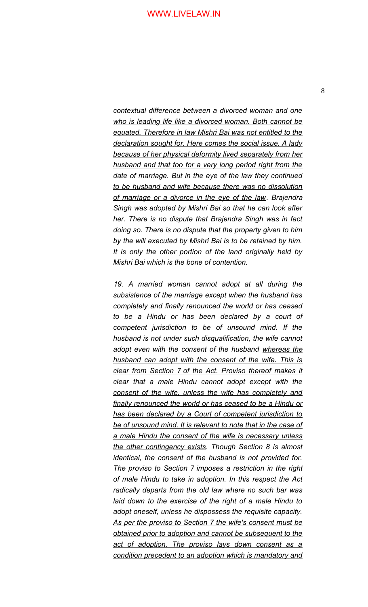*contextual difference between a divorced woman and one who is leading life like a divorced woman. Both cannot be equated. Therefore in law Mishri Bai was not entitled to the declaration sought for. Here comes the social issue. A lady because of her physical deformity lived separately from her husband and that too for a very long period right from the date of marriage. But in the eye of the law they continued to be husband and wife because there was no dissolution of marriage or a divorce in the eye of the law. Brajendra Singh was adopted by Mishri Bai so that he can look after her. There is no dispute that Brajendra Singh was in fact doing so. There is no dispute that the property given to him by the will executed by Mishri Bai is to be retained by him. It is only the other portion of the land originally held by Mishri Bai which is the bone of contention.*

*19. A married woman cannot adopt at all during the subsistence of the marriage except when the husband has completely and finally renounced the world or has ceased to be a Hindu or has been declared by a court of competent jurisdiction to be of unsound mind. If the husband is not under such disqualification, the wife cannot adopt even with the consent of the husband whereas the husband can adopt with the consent of the wife. This is clear from Section 7 of the Act. Proviso thereof makes it clear that a male Hindu cannot adopt except with the consent of the wife, unless the wife has completely and finally renounced the world or has ceased to be a Hindu or has been declared by a Court of competent jurisdiction to be of unsound mind. It is relevant to note that in the case of a male Hindu the consent of the wife is necessary unless the other contingency exists. Though Section 8 is almost identical, the consent of the husband is not provided for. The proviso to Section 7 imposes a restriction in the right of male Hindu to take in adoption. In this respect the Act radically departs from the old law where no such bar was laid down to the exercise of the right of a male Hindu to adopt oneself, unless he dispossess the requisite capacity. As per the proviso to Section 7 the wife's consent must be obtained prior to adoption and cannot be subsequent to the act of adoption. The proviso lays down consent as a condition precedent to an adoption which is mandatory and*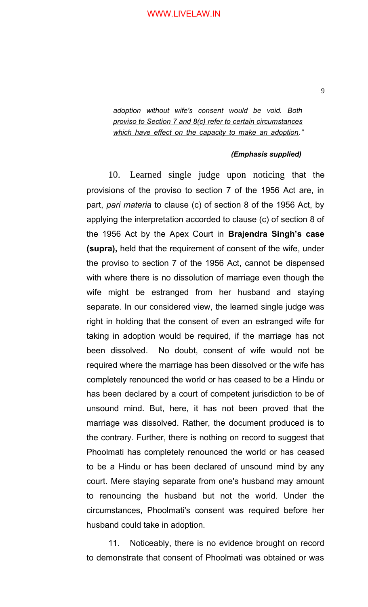*adoption without wife's consent would be void. Both proviso to Section 7 and 8(c) refer to certain circumstances which have effect on the capacity to make an adoption."*

#### *(Emphasis supplied)*

10. Learned single judge upon noticing that the provisions of the proviso to section 7 of the 1956 Act are, in part, *pari materia* to clause (c) of section 8 of the 1956 Act, by applying the interpretation accorded to clause (c) of section 8 of the 1956 Act by the Apex Court in **Brajendra Singh's case (supra),** held that the requirement of consent of the wife, under the proviso to section 7 of the 1956 Act, cannot be dispensed with where there is no dissolution of marriage even though the wife might be estranged from her husband and staying separate. In our considered view, the learned single judge was right in holding that the consent of even an estranged wife for taking in adoption would be required, if the marriage has not been dissolved. No doubt, consent of wife would not be required where the marriage has been dissolved or the wife has completely renounced the world or has ceased to be a Hindu or has been declared by a court of competent jurisdiction to be of unsound mind. But, here, it has not been proved that the marriage was dissolved. Rather, the document produced is to the contrary. Further, there is nothing on record to suggest that Phoolmati has completely renounced the world or has ceased to be a Hindu or has been declared of unsound mind by any court. Mere staying separate from one's husband may amount to renouncing the husband but not the world. Under the circumstances, Phoolmati's consent was required before her husband could take in adoption.

11. Noticeably, there is no evidence brought on record to demonstrate that consent of Phoolmati was obtained or was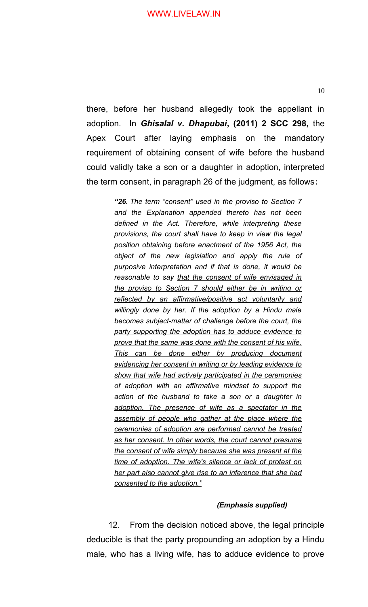there, before her husband allegedly took the appellant in adoption. In *Ghisalal v. Dhapubai***, (2011) 2 SCC 298,** the Apex Court after laying emphasis on the mandatory requirement of obtaining consent of wife before the husband could validly take a son or a daughter in adoption, interpreted the term consent, in paragraph 26 of the judgment, as follows:

> *"26. The term "consent" used in the proviso to Section 7 and the Explanation appended thereto has not been defined in the Act. Therefore, while interpreting these provisions, the court shall have to keep in view the legal position obtaining before enactment of the 1956 Act, the object of the new legislation and apply the rule of purposive interpretation and if that is done, it would be reasonable to say that the consent of wife envisaged in the proviso to Section 7 should either be in writing or reflected by an affirmative/positive act voluntarily and willingly done by her. If the adoption by a Hindu male becomes subject-matter of challenge before the court, the party supporting the adoption has to adduce evidence to prove that the same was done with the consent of his wife. This can be done either by producing document evidencing her consent in writing or by leading evidence to show that wife had actively participated in the ceremonies of adoption with an affirmative mindset to support the action of the husband to take a son or a daughter in adoption. The presence of wife as a spectator in the assembly of people who gather at the place where the ceremonies of adoption are performed cannot be treated as her consent. In other words, the court cannot presume the consent of wife simply because she was present at the time of adoption. The wife's silence or lack of protest on her part also cannot give rise to an inference that she had consented to the adoption."*

#### *(Emphasis supplied)*

12. From the decision noticed above, the legal principle deducible is that the party propounding an adoption by a Hindu male, who has a living wife, has to adduce evidence to prove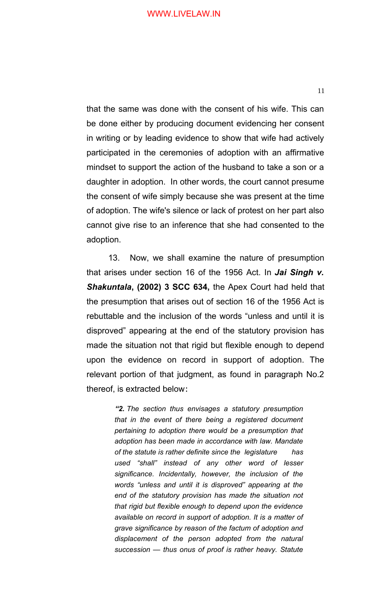that the same was done with the consent of his wife. This can be done either by producing document evidencing her consent in writing or by leading evidence to show that wife had actively participated in the ceremonies of adoption with an affirmative mindset to support the action of the husband to take a son or a daughter in adoption. In other words, the court cannot presume the consent of wife simply because she was present at the time of adoption. The wife's silence or lack of protest on her part also cannot give rise to an inference that she had consented to the adoption.

13. Now, we shall examine the nature of presumption that arises under section 16 of the 1956 Act. In *Jai Singh v. Shakuntala***, (2002) 3 SCC 634,** the Apex Court had held that the presumption that arises out of section 16 of the 1956 Act is rebuttable and the inclusion of the words "unless and until it is disproved" appearing at the end of the statutory provision has made the situation not that rigid but flexible enough to depend upon the evidence on record in support of adoption. The relevant portion of that judgment, as found in paragraph No.2 thereof, is extracted below:

> *"2. The section thus envisages a statutory presumption that in the event of there being a registered document pertaining to adoption there would be a presumption that adoption has been made in accordance with law. Mandate of the statute is rather definite since the legislature has used "shall" instead of any other word of lesser significance. Incidentally, however, the inclusion of the words "unless and until it is disproved" appearing at the end of the statutory provision has made the situation not that rigid but flexible enough to depend upon the evidence available on record in support of adoption. It is a matter of grave significance by reason of the factum of adoption and displacement of the person adopted from the natural succession — thus onus of proof is rather heavy. Statute*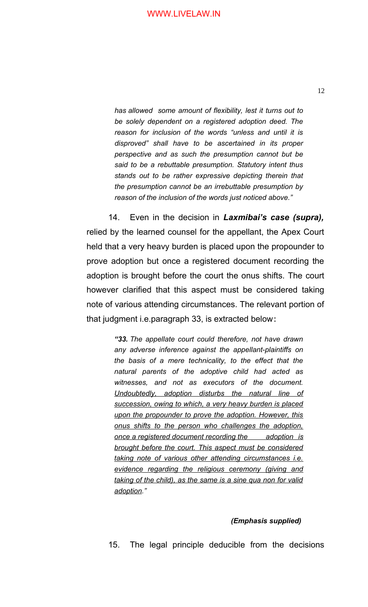*has allowed some amount of flexibility, lest it turns out to be solely dependent on a registered adoption deed. The reason for inclusion of the words "unless and until it is disproved" shall have to be ascertained in its proper perspective and as such the presumption cannot but be said to be a rebuttable presumption. Statutory intent thus stands out to be rather expressive depicting therein that the presumption cannot be an irrebuttable presumption by reason of the inclusion of the words just noticed above."*

14. Even in the decision in *Laxmibai's case (supra),* relied by the learned counsel for the appellant, the Apex Court held that a very heavy burden is placed upon the propounder to prove adoption but once a registered document recording the adoption is brought before the court the onus shifts. The court however clarified that this aspect must be considered taking note of various attending circumstances. The relevant portion of that judgment i.e.paragraph 33, is extracted below:

> *"33. The appellate court could therefore, not have drawn any adverse inference against the appellant-plaintiffs on the basis of a mere technicality, to the effect that the natural parents of the adoptive child had acted as witnesses, and not as executors of the document. Undoubtedly, adoption disturbs the natural line of succession, owing to which, a very heavy burden is placed upon the propounder to prove the adoption. However, this onus shifts to the person who challenges the adoption, once a registered document recording the adoption is brought before the court. This aspect must be considered taking note of various other attending circumstances i.e. evidence regarding the religious ceremony (giving and taking of the child), as the same is a sine qua non for valid adoption."*

#### *(Emphasis supplied)*

15. The legal principle deducible from the decisions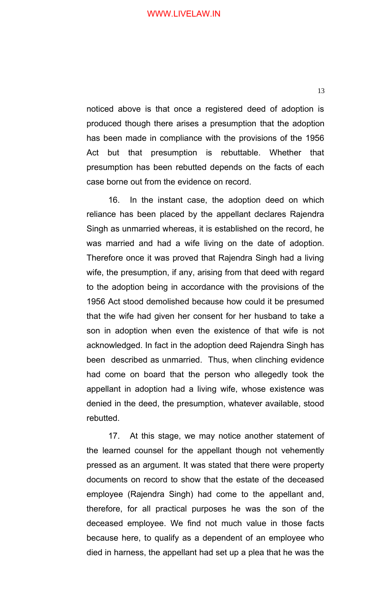noticed above is that once a registered deed of adoption is produced though there arises a presumption that the adoption has been made in compliance with the provisions of the 1956 Act but that presumption is rebuttable. Whether that presumption has been rebutted depends on the facts of each case borne out from the evidence on record.

16. In the instant case, the adoption deed on which reliance has been placed by the appellant declares Rajendra Singh as unmarried whereas, it is established on the record, he was married and had a wife living on the date of adoption. Therefore once it was proved that Rajendra Singh had a living wife, the presumption, if any, arising from that deed with regard to the adoption being in accordance with the provisions of the 1956 Act stood demolished because how could it be presumed that the wife had given her consent for her husband to take a son in adoption when even the existence of that wife is not acknowledged. In fact in the adoption deed Rajendra Singh has been described as unmarried. Thus, when clinching evidence had come on board that the person who allegedly took the appellant in adoption had a living wife, whose existence was denied in the deed, the presumption, whatever available, stood rebutted.

17. At this stage, we may notice another statement of the learned counsel for the appellant though not vehemently pressed as an argument. It was stated that there were property documents on record to show that the estate of the deceased employee (Rajendra Singh) had come to the appellant and, therefore, for all practical purposes he was the son of the deceased employee. We find not much value in those facts because here, to qualify as a dependent of an employee who died in harness, the appellant had set up a plea that he was the